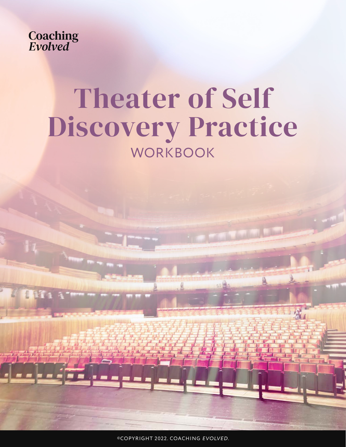

# Theater of Self Discovery Practice **WORKBOOK**

©COPYRIGHT 2022. COACHING *EVOLVED.*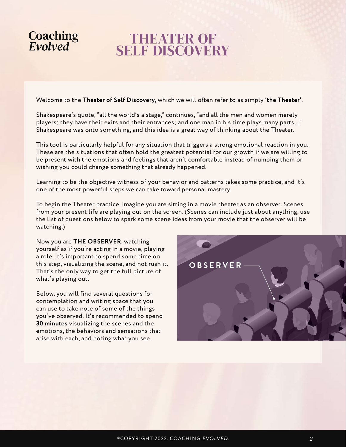### THEATER OF **SELF DISCOVERY**

Welcome to the **Theater of Self Discovery**, which we will often refer to as simply **'the Theater'**.

Shakespeare's quote, "all the world's a stage," continues, "and all the men and women merely players; they have their exits and their entrances; and one man in his time plays many parts…" Shakespeare was onto something, and this idea is a great way of thinking about the Theater.

This tool is particularly helpful for any situation that triggers a strong emotional reaction in you. These are the situations that often hold the greatest potential for our growth if we are willing to be present with the emotions and feelings that aren't comfortable instead of numbing them or wishing you could change something that already happened.

Learning to be the objective witness of your behavior and patterns takes some practice, and it's one of the most powerful steps we can take toward personal mastery.

To begin the Theater practice, imagine you are sitting in a movie theater as an observer. Scenes from your present life are playing out on the screen. (Scenes can include just about anything, use the list of questions below to spark some scene ideas from your movie that the observer will be watching.)

Now you are **THE OBSERVER**, watching yourself as if you're acting in a movie, playing a role. It's important to spend some time on this step, visualizing the scene, and not rush it. That's the only way to get the full picture of what's playing out.

Below, you will find several questions for contemplation and writing space that you can use to take note of some of the things you've observed. It's recommended to spend **30 minutes** visualizing the scenes and the emotions, the behaviors and sensations that arise with each, and noting what you see.

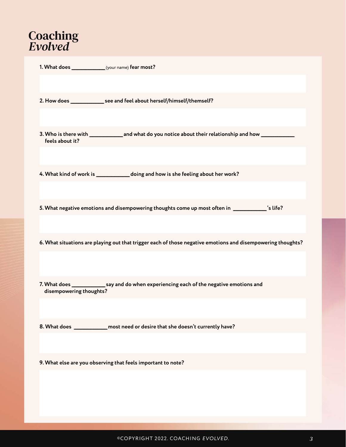| 2. How does ___________________see and feel about herself/himself/themself?                                 |
|-------------------------------------------------------------------------------------------------------------|
|                                                                                                             |
| feels about it?                                                                                             |
|                                                                                                             |
| 4. What kind of work is _____________ doing and how is she feeling about her work?                          |
|                                                                                                             |
| 5. What negative emotions and disempowering thoughts come up most often in _____________'s life?            |
|                                                                                                             |
| 6. What situations are playing out that trigger each of those negative emotions and disempowering thoughts? |
|                                                                                                             |
| 7. What does _______________ say and do when experiencing each of the negative emotions and                 |
| disempowering thoughts?                                                                                     |
|                                                                                                             |
| _most need or desire that she doesn't currently have?                                                       |
|                                                                                                             |
| 9. What else are you observing that feels important to note?                                                |
|                                                                                                             |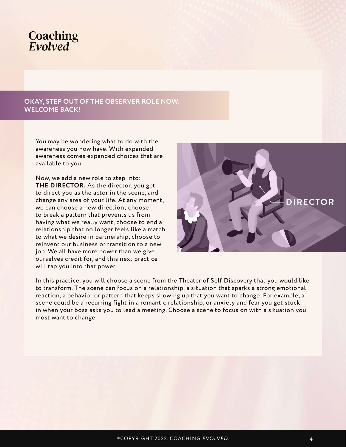### **OKAY, STEP OUT OF THE OBSERVER ROLE NOW. WELCOME BACK!**

You may be wondering what to do with the awareness you now have. With expanded awareness comes expanded choices that are available to you.

Now, we add a new role to step into: **THE DIRECTOR.** As the director, you get to direct you as the actor in the scene, and change any area of your life. At any moment, we can choose a new direction; choose to break a pattern that prevents us from having what we really want, choose to end a relationship that no longer feels like a match to what we desire in partnership, choose to reinvent our business or transition to a new job. We all have more power than we give ourselves credit for, and this next practice will tap you into that power.



In this practice, you will choose a scene from the Theater of Self Discovery that you would like to transform. The scene can focus on a relationship, a situation that sparks a strong emotional reaction, a behavior or pattern that keeps showing up that you want to change, For example, a scene could be a recurring fight in a romantic relationship, or anxiety and fear you get stuck in when your boss asks you to lead a meeting. Choose a scene to focus on with a situation you most want to change.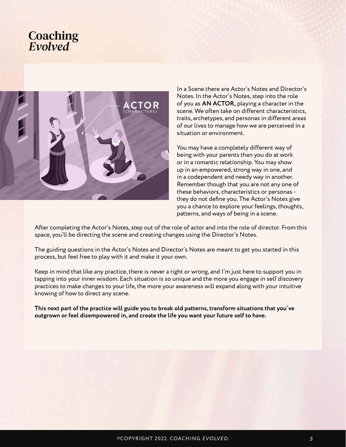

In a Scene there are Actor's Notes and Director's Notes. In the Actor's Notes, step into the role of you as **AN ACTOR,** playing a character in the scene. We often take on different characteristics, traits, archetypes, and personas in different areas of our lives to manage how we are perceived in a situation or environment.

You may have a completely different way of being with your parents than you do at work or in a romantic relationship. You may show up in an empowered, strong way in one, and in a codependent and needy way in another. Remember though that you are not any one of these behaviors, characteristics or personas they do not define you. The Actor's Notes give you a chance to explore your feelings, thoughts, patterns, and ways of being in a scene.

After completing the Actor's Notes, step out of the role of actor and into the role of director. From this space, you'll be directing the scene and creating changes using the Director's Notes.

The guiding questions in the Actor's Notes and Director's Notes are meant to get you started in this process, but feel free to play with it and make it your own.

Keep in mind that like any practice, there is never a right or wrong, and I'm just here to support you in tapping into your inner wisdom. Each situation is so unique and the more you engage in self discovery practices to make changes to your life, the more your awareness will expand along with your intuitive knowing of how to direct any scene.

**This next part of the practice will guide you to break old patterns, transform situations that you've outgrown or feel disempowered in, and create the life you want your future self to have.**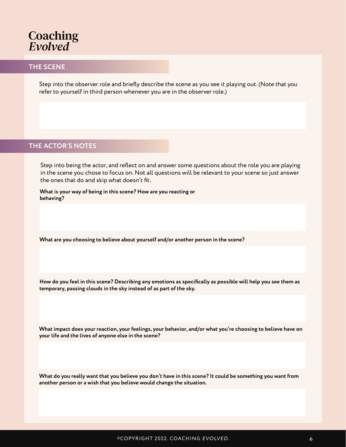

#### **THE SCENE**

Step into the observer role and briefly describe the scene as you see it playing out. (Note that you refer to yourself in third person whenever you are in the observer role.)

#### **THE ACTOR'S NOTES**

Step into being the actor, and reflect on and answer some questions about the role you are playing in the scene you chose to focus on. Not all questions will be relevant to your scene so just answer the ones that do and skip what doesn't fit.

**What is your way of being in this scene? How are you reacting or behaving?**

**What are you choosing to believe about yourself and/or another person in the scene?**

**How do you feel in this scene? Describing any emotions as specifically as possible will help you see them as temporary, passing clouds in the sky instead of as part of the sky.**

**What impact does your reaction, your feelings, your behavior, and/or what you're choosing to believe have on your life and the lives of anyone else in the scene?**

**What do you really want that you believe you don't have in this scene? It could be something you want from another person or a wish that you believe would change the situation.**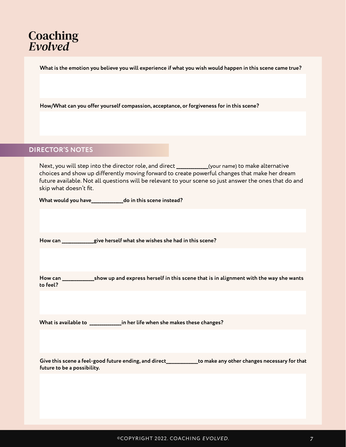**What is the emotion you believe you will experience if what you wish would happen in this scene came true?**

**How/What can you offer yourself compassion, acceptance, or forgiveness for in this scene?**

### **DIRECTOR'S NOTES**

Next, you will step into the director role, and direct **\_\_\_\_\_\_\_\_\_\_\_\_\_\_\_\_**(your name) to make alternative choices and show up differently moving forward to create powerful changes that make her dream future available. Not all questions will be relevant to your scene so just answer the ones that do and skip what doesn't fit.

**What would you have\_\_\_\_\_\_\_\_\_\_\_\_\_\_\_\_do in this scene instead?**

**How can \_\_\_\_\_\_\_\_\_\_\_\_\_\_\_\_give herself what she wishes she had in this scene?**

**How can \_\_\_\_\_\_\_\_\_\_\_\_\_\_\_\_show up and express herself in this scene that is in alignment with the way she wants to feel?**

**What is available to \_\_\_\_\_\_\_\_\_\_\_\_\_\_\_\_in her life when she makes these changes?**

**Give this scene a feel-good future ending, and direct\_\_\_\_\_\_\_\_\_\_\_\_\_\_\_\_to make any other changes necessary for that future to be a possibility.**